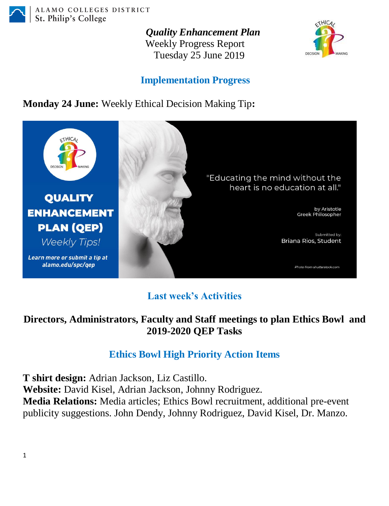

*Quality Enhancement Plan* Weekly Progress Report Tuesday 25 June 2019



## **Implementation Progress**

**Monday 24 June:** Weekly Ethical Decision Making Tip**:**



# **Last week's Activities**

#### **Directors, Administrators, Faculty and Staff meetings to plan Ethics Bowl and 2019-2020 QEP Tasks**

# **Ethics Bowl High Priority Action Items**

**T shirt design:** Adrian Jackson, Liz Castillo. **Website:** David Kisel, Adrian Jackson, Johnny Rodriguez. **Media Relations:** Media articles; Ethics Bowl recruitment, additional pre-event publicity suggestions. John Dendy, Johnny Rodriguez, David Kisel, Dr. Manzo.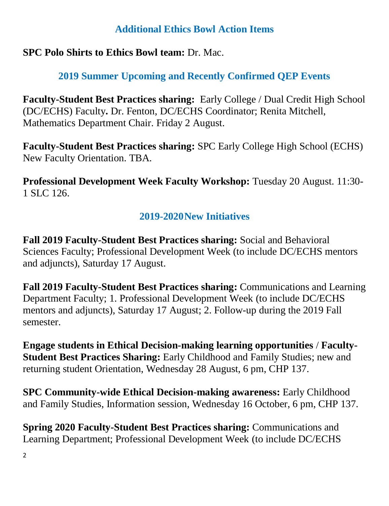#### **Additional Ethics Bowl Action Items**

### **SPC Polo Shirts to Ethics Bowl team:** Dr. Mac.

# **2019 Summer Upcoming and Recently Confirmed QEP Events**

**Faculty-Student Best Practices sharing:** Early College / Dual Credit High School (DC/ECHS) Faculty**.** Dr. Fenton, DC/ECHS Coordinator; Renita Mitchell, Mathematics Department Chair. Friday 2 August.

**Faculty-Student Best Practices sharing:** SPC Early College High School (ECHS) New Faculty Orientation. TBA.

**Professional Development Week Faculty Workshop:** Tuesday 20 August. 11:30- 1 SLC 126.

# **2019-2020New Initiatives**

**Fall 2019 Faculty-Student Best Practices sharing:** Social and Behavioral Sciences Faculty; Professional Development Week (to include DC/ECHS mentors and adjuncts), Saturday 17 August.

**Fall 2019 Faculty-Student Best Practices sharing:** Communications and Learning Department Faculty; 1. Professional Development Week (to include DC/ECHS mentors and adjuncts), Saturday 17 August; 2. Follow-up during the 2019 Fall semester.

**Engage students in Ethical Decision-making learning opportunities** / **Faculty-Student Best Practices Sharing:** Early Childhood and Family Studies; new and returning student Orientation, Wednesday 28 August, 6 pm, CHP 137.

**SPC Community-wide Ethical Decision-making awareness:** Early Childhood and Family Studies, Information session, Wednesday 16 October, 6 pm, CHP 137.

**Spring 2020 Faculty-Student Best Practices sharing:** Communications and Learning Department; Professional Development Week (to include DC/ECHS

2